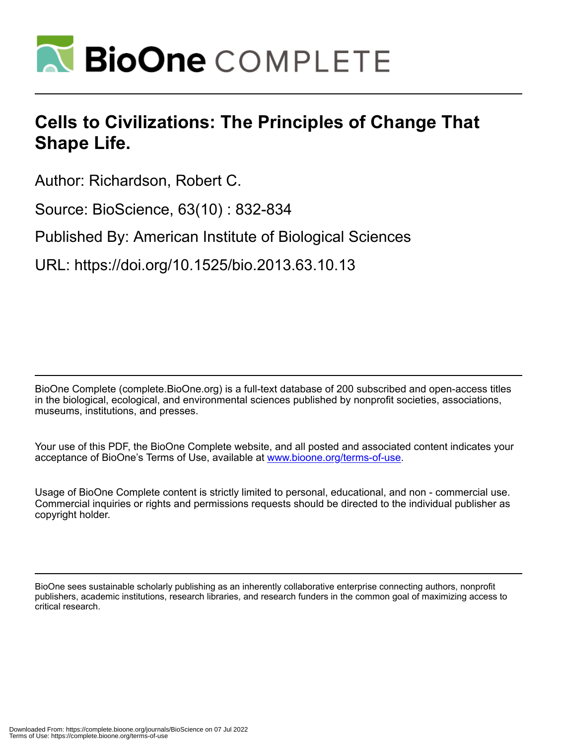

# **Cells to Civilizations: The Principles of Change That Shape Life.**

Author: Richardson, Robert C.

Source: BioScience, 63(10) : 832-834

Published By: American Institute of Biological Sciences

URL: https://doi.org/10.1525/bio.2013.63.10.13

BioOne Complete (complete.BioOne.org) is a full-text database of 200 subscribed and open-access titles in the biological, ecological, and environmental sciences published by nonprofit societies, associations, museums, institutions, and presses.

Your use of this PDF, the BioOne Complete website, and all posted and associated content indicates your acceptance of BioOne's Terms of Use, available at www.bioone.org/terms-of-use.

Usage of BioOne Complete content is strictly limited to personal, educational, and non - commercial use. Commercial inquiries or rights and permissions requests should be directed to the individual publisher as copyright holder.

BioOne sees sustainable scholarly publishing as an inherently collaborative enterprise connecting authors, nonprofit publishers, academic institutions, research libraries, and research funders in the common goal of maximizing access to critical research.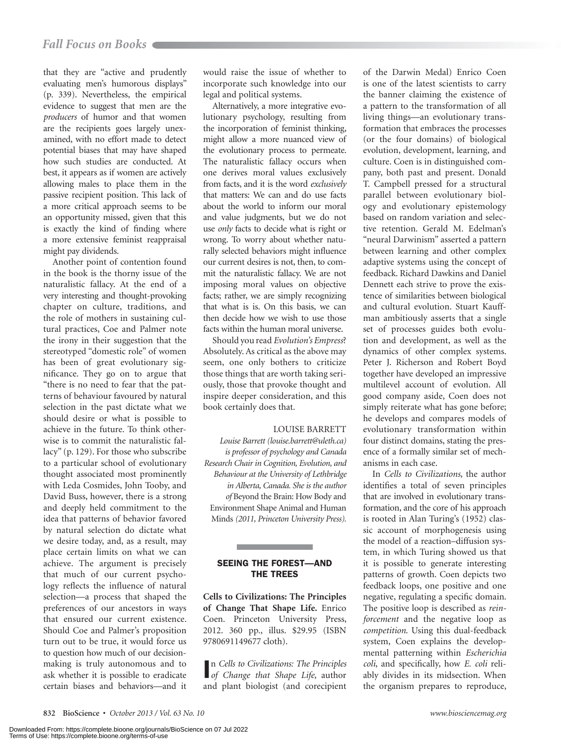that they are "active and prudently evaluating men's humorous displays" (p. 339). Nevertheless, the empirical evidence to suggest that men are the *producers* of humor and that women are the recipients goes largely unexamined, with no effort made to detect potential biases that may have shaped how such studies are conducted. At best, it appears as if women are actively allowing males to place them in the passive recipient position. This lack of a more critical approach seems to be an opportunity missed, given that this is exactly the kind of finding where a more extensive feminist reappraisal might pay dividends.

Another point of contention found in the book is the thorny issue of the naturalistic fallacy. At the end of a very interesting and thought-provoking chapter on culture, traditions, and the role of mothers in sustaining cultural practices, Coe and Palmer note the irony in their suggestion that the stereotyped "domestic role" of women has been of great evolutionary significance. They go on to argue that "there is no need to fear that the patterns of behaviour favoured by natural selection in the past dictate what we should desire or what is possible to achieve in the future. To think otherwise is to commit the naturalistic fallacy" (p. 129). For those who subscribe to a particular school of evolutionary thought associated most prominently with Leda Cosmides, John Tooby, and David Buss, however, there is a strong and deeply held commitment to the idea that patterns of behavior favored by natural selection do dictate what we desire today, and, as a result, may place certain limits on what we can achieve. The argument is precisely that much of our current psychology reflects the influence of natural selection—a process that shaped the preferences of our ancestors in ways that ensured our current existence. Should Coe and Palmer's proposition turn out to be true, it would force us to question how much of our decisionmaking is truly autonomous and to ask whether it is possible to eradicate certain biases and behaviors—and it

would raise the issue of whether to incorporate such knowledge into our legal and political systems.

Alternatively, a more integrative evolutionary psychology, resulting from the incorporation of feminist thinking, might allow a more nuanced view of the evolutionary process to permeate. The naturalistic fallacy occurs when one derives moral values exclusively from facts, and it is the word *exclusively* that matters: We can and do use facts about the world to inform our moral and value judgments, but we do not use *only* facts to decide what is right or wrong. To worry about whether naturally selected behaviors might influence our current desires is not, then, to commit the naturalistic fallacy. We are not imposing moral values on objective facts; rather, we are simply recognizing that what is is. On this basis, we can then decide how we wish to use those facts within the human moral universe.

Should you read *Evolution's Empress*? Absolutely. As critical as the above may seem, one only bothers to criticize those things that are worth taking seriously, those that provoke thought and inspire deeper consideration, and this book certainly does that.

## LOUISE BARRETT

*Louise Barrett (louise.barrett@uleth.ca) is professor of psychology and Canada Research Chair in Cognition, Evolution, and Behaviour at the University of Lethbridge in Alberta, Canada. She is the author of* Beyond the Brain: How Body and Environment Shape Animal and Human Minds *(2011, Princeton University Press).*

# SEEING THE FOREST—AND THE TREES

**Cells to Civilizations: The Principles of Change That Shape Life.** Enrico Coen. Princeton University Press, 2012. 360 pp., illus. \$29.95 (ISBN 9780691149677 cloth).

I *of Change that Shape Life*, author n *Cells to Civilizations: The Principles*  and plant biologist (and corecipient of the Darwin Medal) Enrico Coen is one of the latest scientists to carry the banner claiming the existence of a pattern to the transformation of all living things—an evolutionary transformation that embraces the processes (or the four domains) of biological evolution, development, learning, and culture. Coen is in distinguished company, both past and present. Donald T. Campbell pressed for a structural parallel between evolutionary biology and evolutionary epistemology based on random variation and selective retention. Gerald M. Edelman's "neural Darwinism" asserted a pattern between learning and other complex adaptive systems using the concept of feedback. Richard Dawkins and Daniel Dennett each strive to prove the existence of similarities between biological and cultural evolution. Stuart Kauffman ambitiously asserts that a single set of processes guides both evolution and development, as well as the dynamics of other complex systems. Peter J. Richerson and Robert Boyd together have developed an impressive multilevel account of evolution. All good company aside, Coen does not simply reiterate what has gone before; he develops and compares models of evolutionary transformation within four distinct domains, stating the presence of a formally similar set of mechanisms in each case.

In *Cells to Civilizations*, the author identifies a total of seven principles that are involved in evolutionary transformation, and the core of his approach is rooted in Alan Turing's (1952) classic account of morphogenesis using the model of a reaction–diffusion system, in which Turing showed us that it is possible to generate interesting patterns of growth. Coen depicts two feedback loops, one positive and one negative, regulating a specific domain. The positive loop is described as *reinforcement* and the negative loop as *competition*. Using this dual-feedback system, Coen explains the developmental patterning within *Escherichia coli*, and specifically, how *E. coli* reliably divides in its midsection. When the organism prepares to reproduce,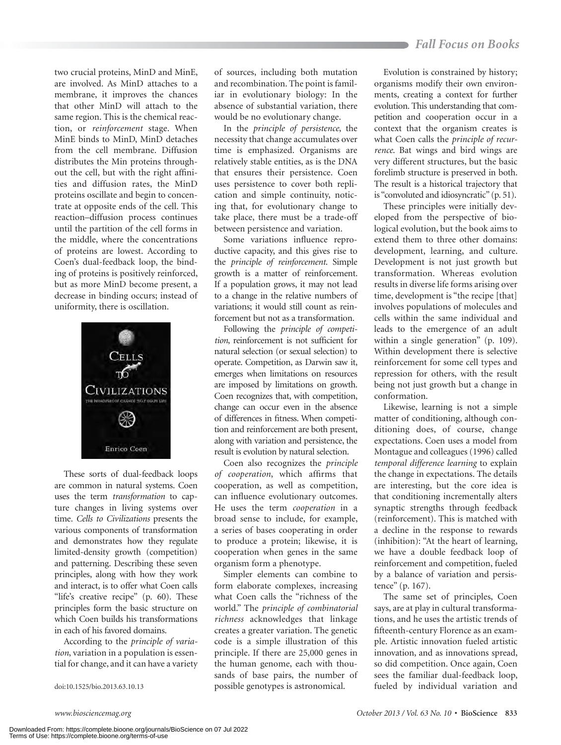two crucial proteins, MinD and MinE, are involved. As MinD attaches to a membrane, it improves the chances that other MinD will attach to the same region. This is the chemical reaction, or *reinforcement* stage. When MinE binds to MinD, MinD detaches from the cell membrane. Diffusion distributes the Min proteins throughout the cell, but with the right affinities and diffusion rates, the MinD proteins oscillate and begin to concentrate at opposite ends of the cell. This reaction–diffusion process continues until the partition of the cell forms in the middle, where the concentrations of proteins are lowest. According to Coen's dual-feedback loop, the binding of proteins is positively reinforced, but as more MinD become present, a decrease in binding occurs; instead of uniformity, there is oscillation.



These sorts of dual-feedback loops are common in natural systems. Coen uses the term *transformation* to capture changes in living systems over time. *Cells to Civilizations* presents the various components of transformation and demonstrates how they regulate limited-density growth (competition) and patterning. Describing these seven principles, along with how they work and interact, is to offer what Coen calls "life's creative recipe" (p. 60). These principles form the basic structure on which Coen builds his transformations in each of his favored domains.

According to the *principle of variation*, variation in a population is essential for change, and it can have a variety

of sources, including both mutation and recombination. The point is familiar in evolutionary biology: In the absence of substantial variation, there would be no evolutionary change.

In the *principle of persistence*, the necessity that change accumulates over time is emphasized. Organisms are relatively stable entities, as is the DNA that ensures their persistence. Coen uses persistence to cover both replication and simple continuity, noticing that, for evolutionary change to take place, there must be a trade-off between persistence and variation.

Some variations influence reproductive capacity, and this gives rise to the *principle of reinforcement*. Simple growth is a matter of reinforcement. If a population grows, it may not lead to a change in the relative numbers of variations; it would still count as reinforcement but not as a transformation.

Following the *principle of competition*, reinforcement is not sufficient for natural selection (or sexual selection) to operate. Competition, as Darwin saw it, emerges when limitations on resources are imposed by limitations on growth. Coen recognizes that, with competition, change can occur even in the absence of differences in fitness. When competition and reinforcement are both present, along with variation and persistence, the result is evolution by natural selection.

Coen also recognizes the *principle of cooperation*, which affirms that cooperation, as well as competition, can influence evolutionary outcomes. He uses the term *cooperation* in a broad sense to include, for example, a series of bases cooperating in order to produce a protein; likewise, it is cooperation when genes in the same organism form a phenotype.

Simpler elements can combine to form elaborate complexes, increasing what Coen calls the "richness of the world." The *principle of combinatorial richness* acknowledges that linkage creates a greater variation. The genetic code is a simple illustration of this principle. If there are 25,000 genes in the human genome, each with thousands of base pairs, the number of doi:10.1525/bio.2013.63.10.13 possible genotypes is astronomical.

Evolution is constrained by history; organisms modify their own environments, creating a context for further evolution. This understanding that competition and cooperation occur in a context that the organism creates is what Coen calls the *principle of recurrence*. Bat wings and bird wings are very different structures, but the basic forelimb structure is preserved in both. The result is a historical trajectory that is "convoluted and idiosyncratic" (p. 51).

These principles were initially developed from the perspective of biological evolution, but the book aims to extend them to three other domains: development, learning, and culture. Development is not just growth but transformation. Whereas evolution results in diverse life forms arising over time, development is "the recipe [that] involves populations of molecules and cells within the same individual and leads to the emergence of an adult within a single generation" (p. 109). Within development there is selective reinforcement for some cell types and repression for others, with the result being not just growth but a change in conformation.

Likewise, learning is not a simple matter of conditioning, although conditioning does, of course, change expectations. Coen uses a model from Montague and colleagues (1996) called *temporal difference learning* to explain the change in expectations. The details are interesting, but the core idea is that conditioning incrementally alters synaptic strengths through feedback (reinforcement). This is matched with a decline in the response to rewards (inhibition): "At the heart of learning, we have a double feedback loop of reinforcement and competition, fueled by a balance of variation and persistence" (p. 167).

The same set of principles, Coen says, are at play in cultural transformations, and he uses the artistic trends of fifteenth-century Florence as an example. Artistic innovation fueled artistic innovation, and as innovations spread, so did competition. Once again, Coen sees the familiar dual-feedback loop, fueled by individual variation and